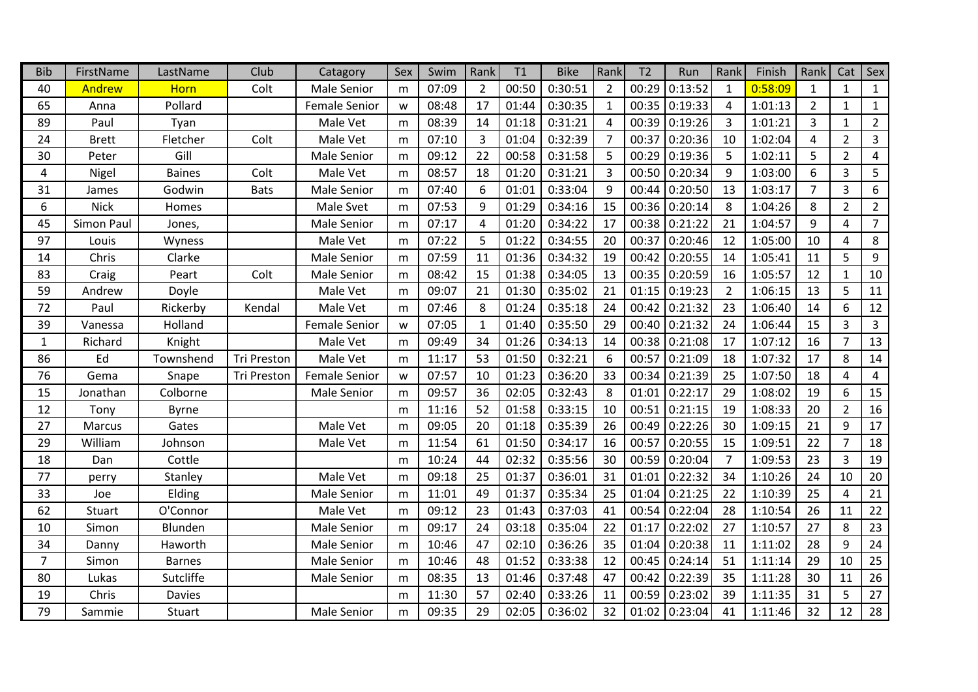| <b>Bib</b>     | FirstName    | LastName      | Club        | Catagory             | Sex | Swim  | Rank           | T1    | <b>Bike</b> | Rank                   | T <sub>2</sub> | Run             | Rank           | Finish  | Rank           | Cat            | Sex            |
|----------------|--------------|---------------|-------------|----------------------|-----|-------|----------------|-------|-------------|------------------------|----------------|-----------------|----------------|---------|----------------|----------------|----------------|
| 40             | Andrew       | <b>Horn</b>   | Colt        | <b>Male Senior</b>   | m   | 07:09 | 2              | 00:50 | 0:30:51     | $\overline{2}$         | 00:29          | 0:13:52         | $\mathbf{1}$   | 0:58:09 | $\mathbf{1}$   | $\mathbf{1}$   | $\mathbf{1}$   |
| 65             | Anna         | Pollard       |             | <b>Female Senior</b> | W   | 08:48 | 17             | 01:44 | 0:30:35     | $\mathbf{1}$           | 00:35          | 0:19:33         | 4              | 1:01:13 | $\overline{2}$ | $\mathbf{1}$   | $\mathbf{1}$   |
| 89             | Paul         | Tyan          |             | Male Vet             | m   | 08:39 | 14             | 01:18 | 0:31:21     | $\boldsymbol{\Lambda}$ | 00:39          | 0:19:26         | $\overline{3}$ | 1:01:21 | $\overline{3}$ | $\mathbf{1}$   | $\overline{2}$ |
| 24             | <b>Brett</b> | Fletcher      | Colt        | Male Vet             | m   | 07:10 | 3              | 01:04 | 0:32:39     | $\overline{7}$         | 00:37          | 0:20:36         | 10             | 1:02:04 | $\overline{4}$ | $\overline{2}$ | $\overline{3}$ |
| 30             | Peter        | Gill          |             | <b>Male Senior</b>   | m   | 09:12 | 22             | 00:58 | 0:31:58     | 5                      | 00:29          | 0:19:36         | 5              | 1:02:11 | 5              | $\overline{2}$ | 4              |
| 4              | Nigel        | <b>Baines</b> | Colt        | Male Vet             | m   | 08:57 | 18             | 01:20 | 0:31:21     | 3                      | 00:50          | 0:20:34         | 9              | 1:03:00 | 6              | $\overline{3}$ | 5              |
| 31             | James        | Godwin        | <b>Bats</b> | Male Senior          | m   | 07:40 | 6              | 01:01 | 0:33:04     | 9                      | 00:44          | 0:20:50         | 13             | 1:03:17 | $\overline{7}$ | $\overline{3}$ | 6              |
| 6              | <b>Nick</b>  | Homes         |             | Male Svet            | m   | 07:53 | 9              | 01:29 | 0:34:16     | 15                     | 00:36          | 0:20:14         | 8              | 1:04:26 | 8              | $\overline{2}$ | $2^{\circ}$    |
| 45             | Simon Paul   | Jones,        |             | <b>Male Senior</b>   | m   | 07:17 | $\overline{4}$ | 01:20 | 0:34:22     | 17                     | 00:38          | 0:21:22         | 21             | 1:04:57 | 9              | $\overline{4}$ | $\overline{7}$ |
| 97             | Louis        | Wyness        |             | Male Vet             | m   | 07:22 | 5              | 01:22 | 0:34:55     | 20                     | 00:37          | 0:20:46         | 12             | 1:05:00 | 10             | 4              | 8              |
| 14             | Chris        | Clarke        |             | Male Senior          | m   | 07:59 | 11             | 01:36 | 0:34:32     | 19                     | 00:42          | 0:20:55         | 14             | 1:05:41 | 11             | 5              | 9              |
| 83             | Craig        | Peart         | Colt        | Male Senior          | m   | 08:42 | 15             | 01:38 | 0:34:05     | 13                     | 00:35          | 0:20:59         | 16             | 1:05:57 | 12             | $\mathbf{1}$   | $10\,$         |
| 59             | Andrew       | Doyle         |             | Male Vet             | m   | 09:07 | 21             | 01:30 | 0:35:02     | 21                     | 01:15          | 0:19:23         | $2^{\circ}$    | 1:06:15 | 13             | 5              | 11             |
| 72             | Paul         | Rickerby      | Kendal      | Male Vet             | m   | 07:46 | 8              | 01:24 | 0:35:18     | 24                     | 00:42          | 0:21:32         | 23             | 1:06:40 | 14             | 6              | 12             |
| 39             | Vanessa      | Holland       |             | <b>Female Senior</b> | w   | 07:05 | $\mathbf{1}$   | 01:40 | 0:35:50     | 29                     | 00:40          | 0:21:32         | 24             | 1:06:44 | 15             | 3              | $\mathbf{3}$   |
| $\mathbf{1}$   | Richard      | Knight        |             | Male Vet             | m   | 09:49 | 34             | 01:26 | 0:34:13     | 14                     | 00:38          | 0:21:08         | 17             | 1:07:12 | 16             | $\overline{7}$ | 13             |
| 86             | Ed           | Townshend     | Tri Preston | Male Vet             | m   | 11:17 | 53             | 01:50 | 0:32:21     | 6                      | 00:57          | 0:21:09         | 18             | 1:07:32 | 17             | 8              | 14             |
| 76             | Gema         | Snape         | Tri Preston | <b>Female Senior</b> | w   | 07:57 | 10             | 01:23 | 0:36:20     | 33                     | 00:34          | 0:21:39         | 25             | 1:07:50 | 18             | 4              | $\overline{4}$ |
| 15             | Jonathan     | Colborne      |             | Male Senior          | m   | 09:57 | 36             | 02:05 | 0:32:43     | 8                      | 01:01          | 0:22:17         | 29             | 1:08:02 | 19             | 6              | 15             |
| 12             | Tony         | <b>Byrne</b>  |             |                      | m   | 11:16 | 52             | 01:58 | 0:33:15     | 10                     | 00:51          | 0:21:15         | 19             | 1:08:33 | 20             | $\overline{2}$ | 16             |
| 27             | Marcus       | Gates         |             | Male Vet             | m   | 09:05 | 20             | 01:18 | 0:35:39     | 26                     | 00:49          | 0:22:26         | 30             | 1:09:15 | 21             | 9              | 17             |
| 29             | William      | Johnson       |             | Male Vet             | m   | 11:54 | 61             | 01:50 | 0:34:17     | 16                     | 00:57          | 0:20:55         | 15             | 1:09:51 | 22             | $\overline{7}$ | 18             |
| 18             | Dan          | Cottle        |             |                      | m   | 10:24 | 44             | 02:32 | 0:35:56     | 30                     | 00:59          | 0:20:04         | $\overline{7}$ | 1:09:53 | 23             | 3              | 19             |
| 77             | perry        | Stanley       |             | Male Vet             | m   | 09:18 | 25             | 01:37 | 0:36:01     | 31                     | 01:01          | 0:22:32         | 34             | 1:10:26 | 24             | 10             | 20             |
| 33             | Joe          | Elding        |             | Male Senior          | m   | 11:01 | 49             | 01:37 | 0:35:34     | 25                     | 01:04          | 0:21:25         | 22             | 1:10:39 | 25             | $\overline{4}$ | 21             |
| 62             | Stuart       | O'Connor      |             | Male Vet             | m   | 09:12 | 23             | 01:43 | 0:37:03     | 41                     | 00:54          | 0:22:04         | 28             | 1:10:54 | 26             | 11             | 22             |
| 10             | Simon        | Blunden       |             | Male Senior          | m   | 09:17 | 24             | 03:18 | 0:35:04     | 22                     | 01:17          | 0:22:02         | 27             | 1:10:57 | 27             | 8              | 23             |
| 34             | Danny        | Haworth       |             | Male Senior          | m   | 10:46 | 47             | 02:10 | 0:36:26     | 35                     | 01:04          | 0:20:38         | 11             | 1:11:02 | 28             | 9              | 24             |
| $\overline{7}$ | Simon        | <b>Barnes</b> |             | Male Senior          | m   | 10:46 | 48             | 01:52 | 0:33:38     | 12                     | 00:45          | 0:24:14         | 51             | 1:11:14 | 29             | 10             | 25             |
| 80             | Lukas        | Sutcliffe     |             | Male Senior          | m   | 08:35 | 13             | 01:46 | 0:37:48     | 47                     | 00:42          | 0:22:39         | 35             | 1:11:28 | 30             | 11             | 26             |
| 19             | Chris        | <b>Davies</b> |             |                      | m   | 11:30 | 57             | 02:40 | 0:33:26     | 11                     | 00:59          | 0:23:02         | 39             | 1:11:35 | 31             | 5              | 27             |
| 79             | Sammie       | Stuart        |             | <b>Male Senior</b>   | m   | 09:35 | 29             | 02:05 | 0:36:02     | 32                     |                | $01:02$ 0:23:04 | 41             | 1:11:46 | 32             | 12             | 28             |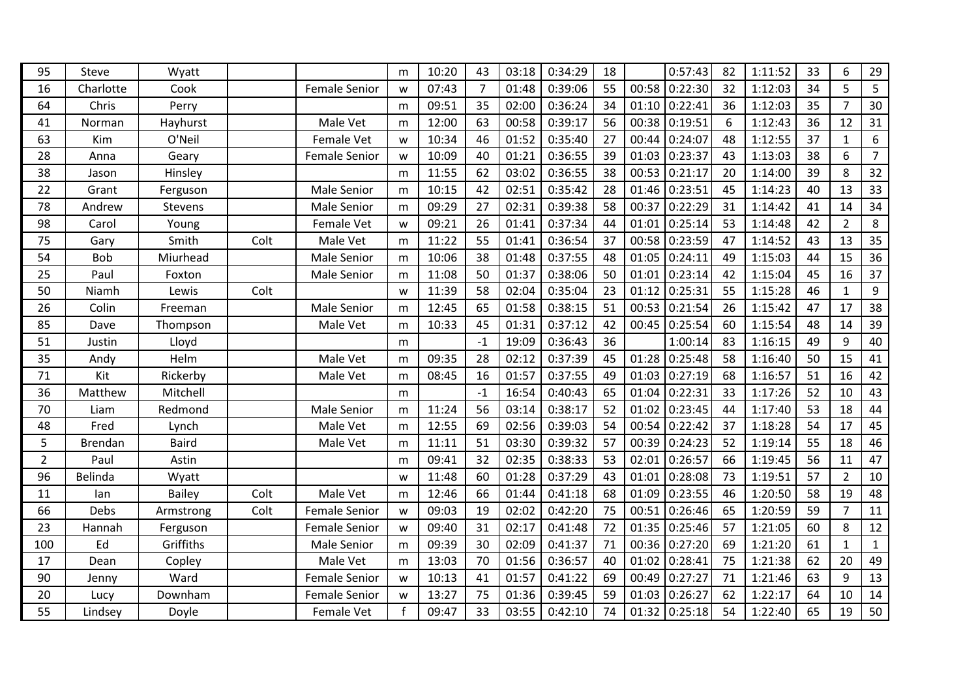| 95             | Steve       | Wyatt          |      |                      | m | 10:20 | 43             | 03:18 | 0:34:29 | 18 |       | 0:57:43 | 82 | 1:11:52 | 33 | 6              | 29             |
|----------------|-------------|----------------|------|----------------------|---|-------|----------------|-------|---------|----|-------|---------|----|---------|----|----------------|----------------|
| 16             | Charlotte   | Cook           |      | <b>Female Senior</b> | W | 07:43 | $\overline{7}$ | 01:48 | 0:39:06 | 55 | 00:58 | 0:22:30 | 32 | 1:12:03 | 34 | 5              | 5              |
| 64             | Chris       | Perry          |      |                      | m | 09:51 | 35             | 02:00 | 0:36:24 | 34 | 01:10 | 0:22:41 | 36 | 1:12:03 | 35 | $\overline{7}$ | 30             |
| 41             | Norman      | Hayhurst       |      | Male Vet             | m | 12:00 | 63             | 00:58 | 0:39:17 | 56 | 00:38 | 0:19:51 | 6  | 1:12:43 | 36 | 12             | 31             |
| 63             | Kim         | O'Neil         |      | Female Vet           | w | 10:34 | 46             | 01:52 | 0:35:40 | 27 | 00:44 | 0:24:07 | 48 | 1:12:55 | 37 | $\mathbf{1}$   | 6              |
| 28             | Anna        | Geary          |      | <b>Female Senior</b> | W | 10:09 | 40             | 01:21 | 0:36:55 | 39 | 01:03 | 0:23:37 | 43 | 1:13:03 | 38 | 6              | $\overline{7}$ |
| 38             | Jason       | Hinsley        |      |                      | m | 11:55 | 62             | 03:02 | 0:36:55 | 38 | 00:53 | 0:21:17 | 20 | 1:14:00 | 39 | 8              | 32             |
| 22             | Grant       | Ferguson       |      | Male Senior          | m | 10:15 | 42             | 02:51 | 0:35:42 | 28 | 01:46 | 0:23:51 | 45 | 1:14:23 | 40 | 13             | 33             |
| 78             | Andrew      | <b>Stevens</b> |      | Male Senior          | m | 09:29 | 27             | 02:31 | 0:39:38 | 58 | 00:37 | 0:22:29 | 31 | 1:14:42 | 41 | 14             | 34             |
| 98             | Carol       | Young          |      | Female Vet           | W | 09:21 | 26             | 01:41 | 0:37:34 | 44 | 01:01 | 0:25:14 | 53 | 1:14:48 | 42 | $\overline{2}$ | 8              |
| 75             | Gary        | Smith          | Colt | Male Vet             | m | 11:22 | 55             | 01:41 | 0:36:54 | 37 | 00:58 | 0:23:59 | 47 | 1:14:52 | 43 | 13             | 35             |
| 54             | <b>Bob</b>  | Miurhead       |      | Male Senior          | m | 10:06 | 38             | 01:48 | 0:37:55 | 48 | 01:05 | 0:24:11 | 49 | 1:15:03 | 44 | 15             | 36             |
| 25             | Paul        | Foxton         |      | Male Senior          | m | 11:08 | 50             | 01:37 | 0:38:06 | 50 | 01:01 | 0:23:14 | 42 | 1:15:04 | 45 | 16             | 37             |
| 50             | Niamh       | Lewis          | Colt |                      | W | 11:39 | 58             | 02:04 | 0:35:04 | 23 | 01:12 | 0:25:31 | 55 | 1:15:28 | 46 | $\mathbf{1}$   | 9              |
| 26             | Colin       | Freeman        |      | Male Senior          | m | 12:45 | 65             | 01:58 | 0:38:15 | 51 | 00:53 | 0:21:54 | 26 | 1:15:42 | 47 | 17             | 38             |
| 85             | Dave        | Thompson       |      | Male Vet             | m | 10:33 | 45             | 01:31 | 0:37:12 | 42 | 00:45 | 0:25:54 | 60 | 1:15:54 | 48 | 14             | 39             |
| 51             | Justin      | Lloyd          |      |                      | m |       | $-1$           | 19:09 | 0:36:43 | 36 |       | 1:00:14 | 83 | 1:16:15 | 49 | 9              | 40             |
| 35             | Andy        | Helm           |      | Male Vet             | m | 09:35 | 28             | 02:12 | 0:37:39 | 45 | 01:28 | 0:25:48 | 58 | 1:16:40 | 50 | 15             | 41             |
| 71             | Kit         | Rickerby       |      | Male Vet             | m | 08:45 | 16             | 01:57 | 0:37:55 | 49 | 01:03 | 0:27:19 | 68 | 1:16:57 | 51 | 16             | 42             |
| 36             | Matthew     | Mitchell       |      |                      | m |       | $-1$           | 16:54 | 0:40:43 | 65 | 01:04 | 0:22:31 | 33 | 1:17:26 | 52 | 10             | 43             |
| 70             | Liam        | Redmond        |      | Male Senior          | m | 11:24 | 56             | 03:14 | 0:38:17 | 52 | 01:02 | 0:23:45 | 44 | 1:17:40 | 53 | 18             | 44             |
| 48             | Fred        | Lynch          |      | Male Vet             | m | 12:55 | 69             | 02:56 | 0:39:03 | 54 | 00:54 | 0:22:42 | 37 | 1:18:28 | 54 | 17             | 45             |
| 5              | Brendan     | <b>Baird</b>   |      | Male Vet             | m | 11:11 | 51             | 03:30 | 0:39:32 | 57 | 00:39 | 0:24:23 | 52 | 1:19:14 | 55 | 18             | 46             |
| $\overline{2}$ | Paul        | Astin          |      |                      | m | 09:41 | 32             | 02:35 | 0:38:33 | 53 | 02:01 | 0:26:57 | 66 | 1:19:45 | 56 | 11             | 47             |
| 96             | Belinda     | Wyatt          |      |                      | W | 11:48 | 60             | 01:28 | 0:37:29 | 43 | 01:01 | 0:28:08 | 73 | 1:19:51 | 57 | $\overline{2}$ | 10             |
| 11             | lan         | <b>Bailey</b>  | Colt | Male Vet             | m | 12:46 | 66             | 01:44 | 0:41:18 | 68 | 01:09 | 0:23:55 | 46 | 1:20:50 | 58 | 19             | 48             |
| 66             | <b>Debs</b> | Armstrong      | Colt | <b>Female Senior</b> | W | 09:03 | 19             | 02:02 | 0:42:20 | 75 | 00:51 | 0:26:46 | 65 | 1:20:59 | 59 | $\overline{7}$ | 11             |
| 23             | Hannah      | Ferguson       |      | <b>Female Senior</b> | w | 09:40 | 31             | 02:17 | 0:41:48 | 72 | 01:35 | 0:25:46 | 57 | 1:21:05 | 60 | 8              | 12             |
| 100            | Ed          | Griffiths      |      | Male Senior          | m | 09:39 | 30             | 02:09 | 0:41:37 | 71 | 00:36 | 0:27:20 | 69 | 1:21:20 | 61 | $\mathbf{1}$   | $\mathbf{1}$   |
| 17             | Dean        | Copley         |      | Male Vet             | m | 13:03 | 70             | 01:56 | 0:36:57 | 40 | 01:02 | 0:28:41 | 75 | 1:21:38 | 62 | 20             | 49             |
| 90             | Jenny       | Ward           |      | <b>Female Senior</b> | w | 10:13 | 41             | 01:57 | 0:41:22 | 69 | 00:49 | 0:27:27 | 71 | 1:21:46 | 63 | 9              | 13             |
| 20             | Lucy        | Downham        |      | <b>Female Senior</b> | w | 13:27 | 75             | 01:36 | 0:39:45 | 59 | 01:03 | 0:26:27 | 62 | 1:22:17 | 64 | 10             | 14             |
| 55             | Lindsey     | Doyle          |      | Female Vet           | f | 09:47 | 33             | 03:55 | 0:42:10 | 74 | 01:32 | 0:25:18 | 54 | 1:22:40 | 65 | 19             | 50             |